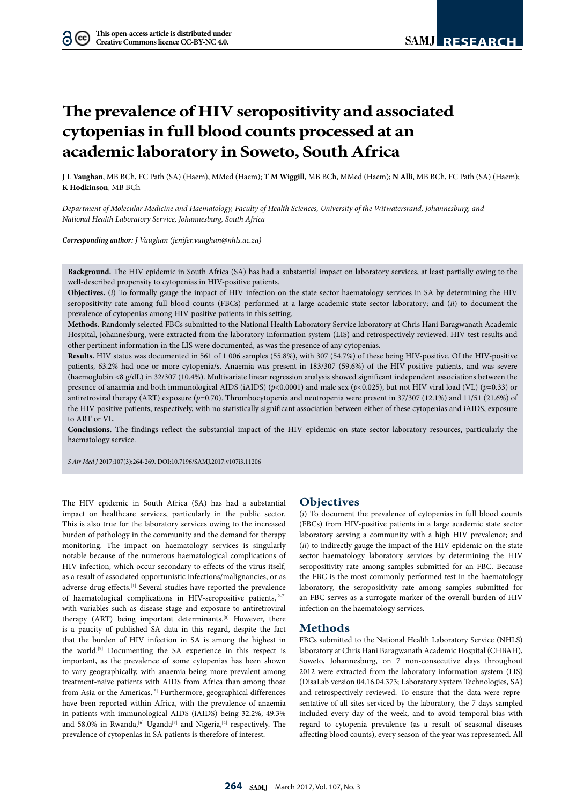# **The prevalence of HIV seropositivity and associated cytopenias in full blood counts processed at an academic laboratory in Soweto, South Africa**

**J L Vaughan**, MB BCh, FC Path (SA) (Haem), MMed (Haem); **T M Wiggill**, MB BCh, MMed (Haem); **N Alli**, MB BCh, FC Path (SA) (Haem); **K Hodkinson**, MB BCh

*Department of Molecular Medicine and Haematology, Faculty of Health Sciences, University of the Witwatersrand, Johannesburg; and National Health Laboratory Service, Johannesburg, South Africa*

*Corresponding author: J Vaughan (jenifer.vaughan@nhls.ac.za)*

**Background.** The HIV epidemic in South Africa (SA) has had a substantial impact on laboratory services, at least partially owing to the well-described propensity to cytopenias in HIV-positive patients.

**Objectives.** (*i*) To formally gauge the impact of HIV infection on the state sector haematology services in SA by determining the HIV seropositivity rate among full blood counts (FBCs) performed at a large academic state sector laboratory; and (*ii*) to document the prevalence of cytopenias among HIV-positive patients in this setting.

**Methods.** Randomly selected FBCs submitted to the National Health Laboratory Service laboratory at Chris Hani Baragwanath Academic Hospital, Johannesburg, were extracted from the laboratory information system (LIS) and retrospectively reviewed. HIV test results and other pertinent information in the LIS were documented, as was the presence of any cytopenias.

**Results.** HIV status was documented in 561 of 1 006 samples (55.8%), with 307 (54.7%) of these being HIV-positive. Of the HIV-positive patients, 63.2% had one or more cytopenia/s. Anaemia was present in 183/307 (59.6%) of the HIV-positive patients, and was severe (haemoglobin <8 g/dL) in 32/307 (10.4%). Multivariate linear regression analysis showed significant independent associations between the presence of anaemia and both immunological AIDS (iAIDS) (*p*<0.0001) and male sex (*p*<0.025), but not HIV viral load (VL) (*p*=0.33) or antiretroviral therapy (ART) exposure (*p*=0.70). Thrombocytopenia and neutropenia were present in 37/307 (12.1%) and 11/51 (21.6%) of the HIV-positive patients, respectively, with no statistically significant association between either of these cytopenias and iAIDS, exposure to ART or VL.

**Conclusions.** The findings reflect the substantial impact of the HIV epidemic on state sector laboratory resources, particularly the haematology service.

*S Afr Med J* 2017;107(3):264-269. DOI:10.7196/SAMJ.2017.v107i3.11206

The HIV epidemic in South Africa (SA) has had a substantial impact on healthcare services, particularly in the public sector. This is also true for the laboratory services owing to the increased burden of pathology in the community and the demand for therapy monitoring. The impact on haematology services is singularly notable because of the numerous haematological complications of HIV infection, which occur secondary to effects of the virus itself, as a result of associated opportunistic infections/malignancies, or as adverse drug effects.<sup>[1]</sup> Several studies have reported the prevalence of haematological complications in HIV-seropositive patients,[2-7] with variables such as disease stage and exposure to antiretroviral therapy (ART) being important determinants.<sup>[8]</sup> However, there is a paucity of published SA data in this regard, despite the fact that the burden of HIV infection in SA is among the highest in the world.[9] Documenting the SA experience in this respect is important, as the prevalence of some cytopenias has been shown to vary geographically, with anaemia being more prevalent among treatment-naive patients with AIDS from Africa than among those from Asia or the Americas.<sup>[5]</sup> Furthermore, geographical differences have been reported within Africa, with the prevalence of anaemia in patients with immunological AIDS (iAIDS) being 32.2%, 49.3% and 58.0% in Rwanda,<sup>[6]</sup> Uganda<sup>[7]</sup> and Nigeria,<sup>[4]</sup> respectively. The prevalence of cytopenias in SA patients is therefore of interest.

# **Objectives**

(*i*) To document the prevalence of cytopenias in full blood counts (FBCs) from HIV-positive patients in a large academic state sector laboratory serving a community with a high HIV prevalence; and (*ii*) to indirectly gauge the impact of the HIV epidemic on the state sector haematology laboratory services by determining the HIV seropositivity rate among samples submitted for an FBC. Because the FBC is the most commonly performed test in the haematology laboratory, the seropositivity rate among samples submitted for an FBC serves as a surrogate marker of the overall burden of HIV infection on the haematology services.

## **Methods**

FBCs submitted to the National Health Laboratory Service (NHLS) laboratory at Chris Hani Baragwanath Academic Hospital (CHBAH), Soweto, Johannesburg, on 7 non-consecutive days throughout 2012 were extracted from the laboratory information system (LIS) (DisaLab version 04.16.04.373; Laboratory System Technologies, SA) and retrospectively reviewed. To ensure that the data were representative of all sites serviced by the laboratory, the 7 days sampled included every day of the week, and to avoid temporal bias with regard to cytopenia prevalence (as a result of seasonal diseases affecting blood counts), every season of the year was represented. All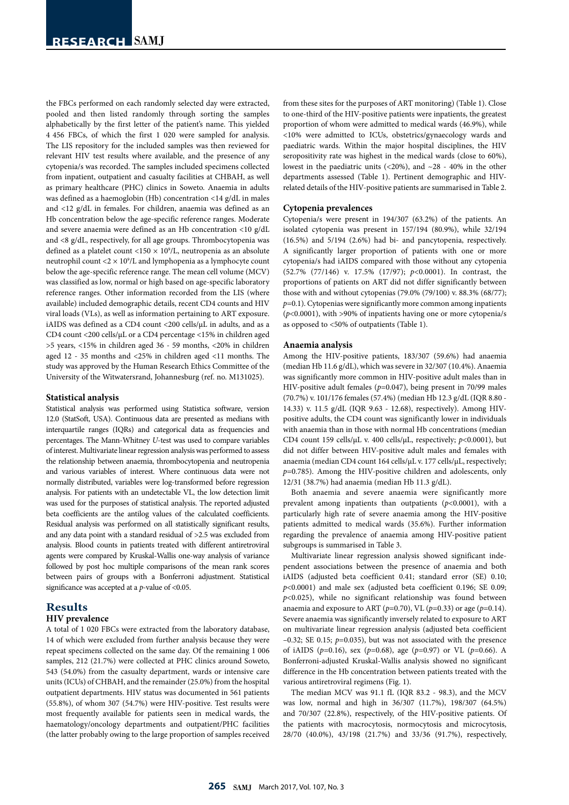the FBCs performed on each randomly selected day were extracted, pooled and then listed randomly through sorting the samples alphabetically by the first letter of the patient's name. This yielded 4 456 FBCs, of which the first 1 020 were sampled for analysis. The LIS repository for the included samples was then reviewed for relevant HIV test results where available, and the presence of any cytopenia/s was recorded. The samples included specimens collected from inpatient, outpatient and casualty facilities at CHBAH, as well as primary healthcare (PHC) clinics in Soweto. Anaemia in adults was defined as a haemoglobin (Hb) concentration <14 g/dL in males and <12 g/dL in females. For children, anaemia was defined as an Hb concentration below the age-specific reference ranges. Moderate and severe anaemia were defined as an Hb concentration <10 g/dL and <8 g/dL, respectively, for all age groups. Thrombocytopenia was defined as a platelet count <150  $\times$  10<sup>9</sup>/L, neutropenia as an absolute neutrophil count <2 × 109 /L and lymphopenia as a lymphocyte count below the age-specific reference range. The mean cell volume (MCV) was classified as low, normal or high based on age-specific laboratory reference ranges. Other information recorded from the LIS (where available) included demographic details, recent CD4 counts and HIV viral loads (VLs), as well as information pertaining to ART exposure. iAIDS was defined as a CD4 count <200 cells/µL in adults, and as a CD4 count <200 cells/µL or a CD4 percentage <15% in children aged >5 years, <15% in children aged 36 - 59 months, <20% in children aged 12 - 35 months and <25% in children aged <11 months. The study was approved by the Human Research Ethics Committee of the University of the Witwatersrand, Johannesburg (ref. no. M131025).

#### **Statistical analysis**

Statistical analysis was performed using Statistica software, version 12.0 (StatSoft, USA). Continuous data are presented as medians with interquartile ranges (IQRs) and categorical data as frequencies and percentages. The Mann-Whitney *U*-test was used to compare variables of interest. Multivariate linear regression analysis was performed to assess the relationship between anaemia, thrombocytopenia and neutropenia and various variables of interest. Where continuous data were not normally distributed, variables were log-transformed before regression analysis. For patients with an undetectable VL, the low detection limit was used for the purposes of statistical analysis. The reported adjusted beta coefficients are the antilog values of the calculated coefficients. Residual analysis was performed on all statistically significant results, and any data point with a standard residual of >2.5 was excluded from analysis. Blood counts in patients treated with different antiretroviral agents were compared by Kruskal-Wallis one-way analysis of variance followed by post hoc multiple comparisons of the mean rank scores between pairs of groups with a Bonferroni adjustment. Statistical significance was accepted at a *p*-value of <0.05.

# **Results**

## **HIV prevalence**

A total of 1 020 FBCs were extracted from the laboratory database, 14 of which were excluded from further analysis because they were repeat specimens collected on the same day. Of the remaining 1 006 samples, 212 (21.7%) were collected at PHC clinics around Soweto, 543 (54.0%) from the casualty department, wards or intensive care units (ICUs) of CHBAH, and the remainder (25.0%) from the hospital outpatient departments. HIV status was documented in 561 patients (55.8%), of whom 307 (54.7%) were HIV-positive. Test results were most frequently available for patients seen in medical wards, the haematology/oncology departments and outpatient/PHC facilities (the latter probably owing to the large proportion of samples received

from these sites for the purposes of ART monitoring) (Table 1). Close to one-third of the HIV-positive patients were inpatients, the greatest proportion of whom were admitted to medical wards (46.9%), while <10% were admitted to ICUs, obstetrics/gynaecology wards and paediatric wards. Within the major hospital disciplines, the HIV seropositivity rate was highest in the medical wards (close to 60%), lowest in the paediatric units  $(\langle 20\% \rangle)$ , and  $\sim 28$  - 40% in the other departments assessed (Table 1). Pertinent demographic and HIVrelated details of the HIV-positive patients are summarised in Table 2.

#### **Cytopenia prevalences**

Cytopenia/s were present in 194/307 (63.2%) of the patients. An isolated cytopenia was present in 157/194 (80.9%), while 32/194 (16.5%) and 5/194 (2.6%) had bi- and pancytopenia, respectively. A significantly larger proportion of patients with one or more cytopenia/s had iAIDS compared with those without any cytopenia (52.7% (77/146) v. 17.5% (17/97); *p*<0.0001). In contrast, the proportions of patients on ART did not differ significantly between those with and without cytopenias (79.0% (79/100) v. 88.3% (68/77); *p*=0.1). Cytopenias were significantly more common among inpatients (*p*<0.0001), with >90% of inpatients having one or more cytopenia/s as opposed to <50% of outpatients (Table 1).

#### **Anaemia analysis**

Among the HIV-positive patients, 183/307 (59.6%) had anaemia (median Hb 11.6 g/dL), which was severe in 32/307 (10.4%). Anaemia was significantly more common in HIV-positive adult males than in HIV-positive adult females (*p*=0.047), being present in 70/99 males (70.7%) v. 101/176 females (57.4%) (median Hb 12.3 g/dL (IQR 8.80 - 14.33) v. 11.5 g/dL (IQR 9.63 - 12.68), respectively). Among HIVpositive adults, the CD4 count was significantly lower in individuals with anaemia than in those with normal Hb concentrations (median CD4 count 159 cells/µL v. 400 cells/µL, respectively; *p*<0.0001), but did not differ between HIV-positive adult males and females with anaemia (median CD4 count 164 cells/µL v. 177 cells/µL, respectively; *p*=0.785). Among the HIV-positive children and adolescents, only 12/31 (38.7%) had anaemia (median Hb 11.3 g/dL).

Both anaemia and severe anaemia were significantly more prevalent among inpatients than outpatients (*p*<0.0001), with a particularly high rate of severe anaemia among the HIV-positive patients admitted to medical wards (35.6%). Further information regarding the prevalence of anaemia among HIV-positive patient subgroups is summarised in Table 3.

Multivariate linear regression analysis showed significant independent associations between the presence of anaemia and both iAIDS (adjusted beta coefficient 0.41; standard error (SE) 0.10; *p*<0.0001) and male sex (adjusted beta coefficient 0.196; SE 0.09; *p*<0.025), while no significant relationship was found between anaemia and exposure to ART ( $p=0.70$ ), VL ( $p=0.33$ ) or age ( $p=0.14$ ). Severe anaemia was significantly inversely related to exposure to ART on multivariate linear regression analysis (adjusted beta coefficient –0.32; SE 0.15; *p*=0.035), but was not associated with the presence of iAIDS (*p*=0.16), sex (*p*=0.68), age (*p*=0.97) or VL (*p*=0.66). A Bonferroni-adjusted Kruskal-Wallis analysis showed no significant difference in the Hb concentration between patients treated with the various antiretroviral regimens (Fig. 1).

The median MCV was 91.1 fL (IQR 83.2 - 98.3), and the MCV was low, normal and high in 36/307 (11.7%), 198/307 (64.5%) and 70/307 (22.8%), respectively, of the HIV-positive patients. Of the patients with macrocytosis, normocytosis and microcytosis, 28/70 (40.0%), 43/198 (21.7%) and 33/36 (91.7%), respectively,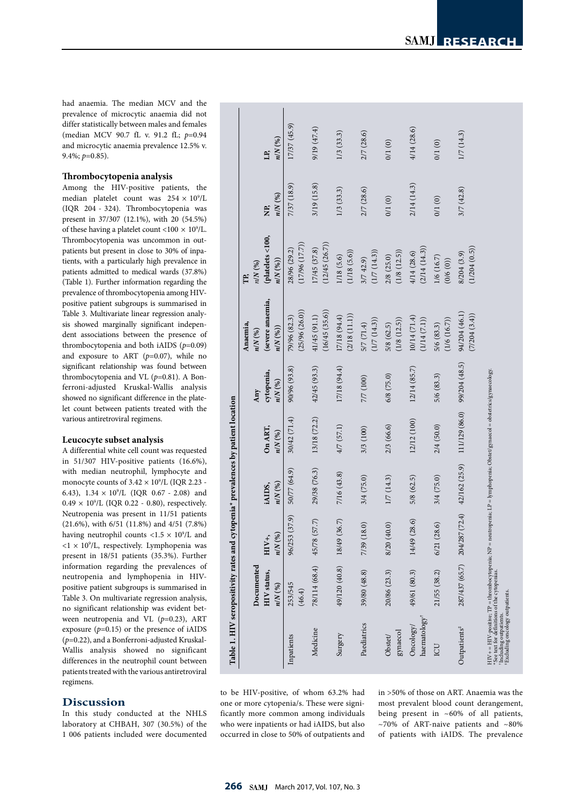had anaemia. The median MCV and the prevalence of microcytic anaemia did not differ statistically between males and females (median MCV 90.7 fL v. 91.2 fL; *p*=0.94 and microcytic anaemia prevalence 12.5% v. 9.4%; *p*=0.85).

# **Thrombocytopenia analysis**

Among the HIV-positive patients, the median platelet count was  $254 \times 10^9$ /L (IQR 204 - 324). Thrombocytopenia was present in 37/307 (12.1%), with 20 (54.5%) of these having a platelet count <100  $\times$  10<sup>9</sup>/L. Thrombocytopenia was uncommon in outpatients but present in close to 30% of inpatients, with a particularly high prevalence in patients admitted to medical wards (37.8%) (Table 1). Further information regarding the prevalence of thrombocytopenia among HIVpositive patient subgroups is summarised in Table 3. Multivariate linear regression analysis showed marginally significant independent associations between the presence of thrombocytopenia and both iAIDS (*p*=0.09) and exposure to ART (*p*=0.07), while no significant relationship was found between thrombocytopenia and VL (*p*=0.81). A Bonferroni-adjusted Kruskal-Wallis analysis showed no significant difference in the platelet count between patients treated with the various antiretroviral regimens.

## **Leucocyte subset analysis**

A differential white cell count was requested in 51/307 HIV-positive patients (16.6%), with median neutrophil, lymphocyte and monocyte counts of  $3.42 \times 10^9$ /L (IQR 2.23 -6.43),  $1.34 \times 10^9$ /L (IQR 0.67 - 2.08) and  $0.49 \times 10^{9}$ /L (IQR 0.22 - 0.80), respectively. Neutropenia was present in 11/51 patients (21.6%), with 6/51 (11.8%) and 4/51 (7.8%) having neutrophil counts  $<$ 1.5  $\times$  10 $^{\circ}/$ L and  $<$ 1  $\times$  10<sup>9</sup>/L, respectively. Lymphopenia was present in 18/51 patients (35.3%). Further information regarding the prevalences of neutropenia and lymphopenia in HIVpositive patient subgroups is summarised in Table 3. On multivariate regression analysis, no significant relationship was evident between neutropenia and VL (*p*=0.23), ART exposure  $(p=0.15)$  or the presence of iAIDS (*p*=0.22), and a Bonferroni-adjusted Kruskal-Wallis analysis showed no significant differences in the neutrophil count between patients treated with the various antiretroviral regimens.

# **Discussion**

In this study conducted at the NHLS laboratory at CHBAH, 307 (30.5%) of the 1 006 patients included were documented

|                                                                                                           | Documented                                                                                                                |                      |                         |                      | Any                     | Anaemia,<br>$n/N$ (%)          | $n/N$ (%)<br>FP.               |                 |                  |
|-----------------------------------------------------------------------------------------------------------|---------------------------------------------------------------------------------------------------------------------------|----------------------|-------------------------|----------------------|-------------------------|--------------------------------|--------------------------------|-----------------|------------------|
|                                                                                                           | <b>HIV</b> status,<br>$n/N$ (%)                                                                                           | $n/N$ (%)<br>$HIV+,$ | n/N(%)<br>iAIDS,        | On ART,<br>$n/N$ (%) | cytopenia,<br>$n/N$ (%) | (severe anaemia,<br>n/N(%)     | (platelets <100,<br>n/N(96)    | $n/N$ (%)<br>È, | $n/N$ (%)<br>LP, |
| Inpatients                                                                                                | 253/545<br>(46.4)                                                                                                         | 96/253 (37.9)        | 50/77 (64.9)            | 30/42(71.4)          | 90/96 (93.8)            | (25/96 (26.0))<br>79/96 (82.3) | (17/96(17.7))<br>28/96 (29.2)  | 7/37 (18.9)     | 17/37 (45.9)     |
| Medicine                                                                                                  | 78/114 (68.4) 45/78 (57.7)                                                                                                |                      | 29/38 (76.3)            | 13/18 (72.2)         | 42/45 (93.3)            | (16/45 (35.6))<br>41/45 (91.1) | (12/45 (26.7))<br>17/45 (37.8) | 3/19 (15.8)     | 9/19 (47.4)      |
| Surgery                                                                                                   | 49/120 (40.8) 18/49 (36.7)                                                                                                |                      | 7/16 (43.8)             | 4/7 (57.1)           | 17/18 (94.4)            | (2/18(11.1))<br>17/18 (94.4)   | (1/18(5.6))<br>1/18 (5.6)      | $1/3$ (33.3)    | $1/3$ (33.3)     |
| Paediatrics                                                                                               | 39/80 (48.8)                                                                                                              | 7/39 (18.0)          | 3/4 (75.0)              | 3/3 (100)            | 7/7 (100)               | (1/7(14.3))<br>5/7(71.4)       | (1/7(14.3))<br>3/742.9         | 2/7 (28.6)      | 2/7 (28.6)       |
| gynaecol<br>Obstet/                                                                                       | 20/86 (23.3)                                                                                                              | 8/20 (40.0)          | 1/7(14.3)               | 2/3 (66.6)           | 6/8 (75.0)              | (1/8(12.5))<br>5/8(62.5)       | (1/8(12.5))<br>2/8 (25.0)      | 0/1(0)          | 0/1(0)           |
| $\rm haematology$<br>Oncology/                                                                            | 49/61 (80.3)                                                                                                              | 14/49 (28.6)         | 5/8 (62.5)              | 12/12 (100)          | 12/14(85.7)             | 10/14 (71.4)<br>(1/14(7.1))    | (2/14(14.3))<br>4/14 (28.6)    | 2/14 (14.3)     | 4/14(28.6)       |
| LC                                                                                                        | 21/55 (38.2)                                                                                                              | 6/21(28.6)           | $3/4$ (75.0)            | $2/4$ (50.0)         | 5/6 (83.3)              | (1/6(16.7))<br>5/6 (83.3)      | 1/6 (16.7)<br>(0/6(0))         | 0/1(0)          | 0/1(0)           |
| Outpatients <sup>#</sup>                                                                                  | 287/437 (65.7) 204/287 (                                                                                                  |                      | $72.4)$ $42/162$ (25.9) | 111/129 (86.0)       | 99/204 (48.5)           | 94/204 (46.1)<br>(7/204 (3.4)) | (1/204(0.5))<br>8/204 (3.9)    | 3/7(42.8)       | 1/7(14.3)        |
| "See text for definitions of the cytopenias.<br>Excluding oncology outpatients.<br>Including outpatients. | HIV+ = HIV-positive; TP = thrombocytopenia; NP = neutropenia; LP = lymphopenia; Obstet/gymaecol = obstetrics/gymaecology; |                      |                         |                      |                         |                                |                                |                 |                  |

to be HIV-positive, of whom 63.2% had one or more cytopenia/s. These were significantly more common among individuals who were inpatients or had iAIDS, but also occurred in close to 50% of outpatients and

in >50% of those on ART. Anaemia was the most prevalent blood count derangement, being present in  $~10\%$  of all patients,  $\sim$ 70% of ART-naive patients and  $\sim$ 80% of patients with iAIDS. The prevalence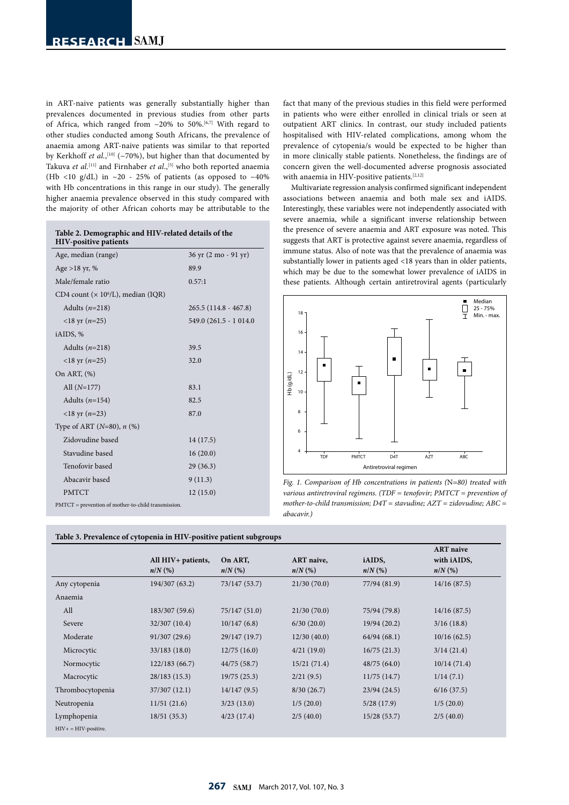| in ART-naive patients was generally substantially higher than                                |
|----------------------------------------------------------------------------------------------|
| prevalences documented in previous studies from other parts                                  |
| of Africa, which ranged from $\sim$ 20% to 50%. <sup>[6,7]</sup> With regard to              |
| other studies conducted among South Africans, the prevalence of                              |
| anaemia among ART-naive patients was similar to that reported                                |
| by Kerkhoff <i>et al.</i> , <sup>[10]</sup> (~70%), but higher than that documented by       |
| Takuva et al. <sup>[11]</sup> and Firnhaber et al., <sup>[5]</sup> who both reported anaemia |
| (Hb <10 g/dL) in $\sim$ 20 - 25% of patients (as opposed to $\sim$ 40%                       |
| with Hb concentrations in this range in our study). The generally                            |
| higher anaemia prevalence observed in this study compared with                               |
| the majority of other African cohorts may be attributable to the                             |

| Table 2. Demographic and HIV-related details of the<br><b>HIV-positive patients</b> |                        |
|-------------------------------------------------------------------------------------|------------------------|
| Age, median (range)                                                                 | 36 yr (2 mo - 91 yr)   |
| Age > 18 yr, $%$                                                                    | 89.9                   |
| Male/female ratio                                                                   | 0.57:1                 |
| CD4 count ( $\times$ 10 <sup>6</sup> /L), median (IQR)                              |                        |
| Adults $(n=218)$                                                                    | $265.5(114.8 - 467.8)$ |
| $<$ 18 yr (n=25)                                                                    | 549.0 (261.5 - 1 014.0 |
| iAIDS, %                                                                            |                        |
| Adults $(n=218)$                                                                    | 39.5                   |
| $<$ 18 yr ( <i>n</i> =25)                                                           | 32.0                   |
| On ART, (%)                                                                         |                        |
| All $(N=177)$                                                                       | 83.1                   |
| Adults $(n=154)$                                                                    | 82.5                   |
| <18 yr $(n=23)$                                                                     | 87.0                   |
| Type of ART ( $N=80$ ), $n$ (%)                                                     |                        |
| Zidovudine based                                                                    | 14 (17.5)              |
| Stavudine based                                                                     | 16(20.0)               |
| Tenofovir based                                                                     | 29(36.3)               |
| Abacavir based                                                                      | 9(11.3)                |
| <b>PMTCT</b>                                                                        | 12(15.0)               |
| PMTCT = prevention of mother-to-child transmission.                                 |                        |

fact that many of the previous studies in this field were performed in patients who were either enrolled in clinical trials or seen at outpatient ART clinics. In contrast, our study included patients hospitalised with HIV-related complications, among whom the prevalence of cytopenia/s would be expected to be higher than in more clinically stable patients. Nonetheless, the findings are of concern given the well-documented adverse prognosis associated with anaemia in HIV-positive patients.<sup>[2,12]</sup>

Multivariate regression analysis confirmed significant independent associations between anaemia and both male sex and iAIDS. Interestingly, these variables were not independently associated with severe anaemia, while a significant inverse relationship between the presence of severe anaemia and ART exposure was noted. This suggests that ART is protective against severe anaemia, regardless of immune status. Also of note was that the prevalence of anaemia was substantially lower in patients aged <18 years than in older patients, which may be due to the somewhat lower prevalence of iAIDS in these patients. Although certain antiretroviral agents (particularly



*Fig. 1. Comparison of Hb concentrations in patients (*N*=80) treated with various antiretroviral regimens. (TDF = tenofovir; PMTCT = prevention of mother-to-child transmission; D4T = stavudine; AZT = zidovudine; ABC = abacavir.)*

|                        |                    |               |             |              | <b>ART</b> naive |
|------------------------|--------------------|---------------|-------------|--------------|------------------|
|                        | All HIV+ patients, | On ART,       | ART naive,  | iAIDS,       | with iAIDS,      |
|                        | $n/N$ (%)          | $n/N$ (%)     | $n/N$ (%)   | $n/N$ (%)    | $n/N$ (%)        |
| Any cytopenia          | 194/307 (63.2)     | 73/147 (53.7) | 21/30(70.0) | 77/94 (81.9) | 14/16(87.5)      |
| Anaemia                |                    |               |             |              |                  |
| All                    | 183/307 (59.6)     | 75/147 (51.0) | 21/30(70.0) | 75/94 (79.8) | 14/16(87.5)      |
| Severe                 | 32/307 (10.4)      | 10/147(6.8)   | 6/30(20.0)  | 19/94 (20.2) | 3/16(18.8)       |
| Moderate               | 91/307 (29.6)      | 29/147 (19.7) | 12/30(40.0) | 64/94(68.1)  | 10/16(62.5)      |
| Microcytic             | 33/183 (18.0)      | 12/75(16.0)   | 4/21(19.0)  | 16/75(21.3)  | 3/14(21.4)       |
| Normocytic             | 122/183 (66.7)     | 44/75 (58.7)  | 15/21(71.4) | 48/75(64.0)  | 10/14(71.4)      |
| Macrocytic             | 28/183(15.3)       | 19/75(25.3)   | 2/21(9.5)   | 11/75(14.7)  | 1/14(7.1)        |
| Thrombocytopenia       | 37/307 (12.1)      | 14/147(9.5)   | 8/30(26.7)  | 23/94(24.5)  | 6/16(37.5)       |
| Neutropenia            | 11/51(21.6)        | 3/23(13.0)    | 1/5(20.0)   | 5/28(17.9)   | 1/5(20.0)        |
| Lymphopenia            | 18/51(35.3)        | 4/23(17.4)    | 2/5(40.0)   | 15/28(53.7)  | 2/5(40.0)        |
| $HIV+ = HIV-positive.$ |                    |               |             |              |                  |

# **Table 3. Prevalence of cytopenia in HIV-positive patient subgroups**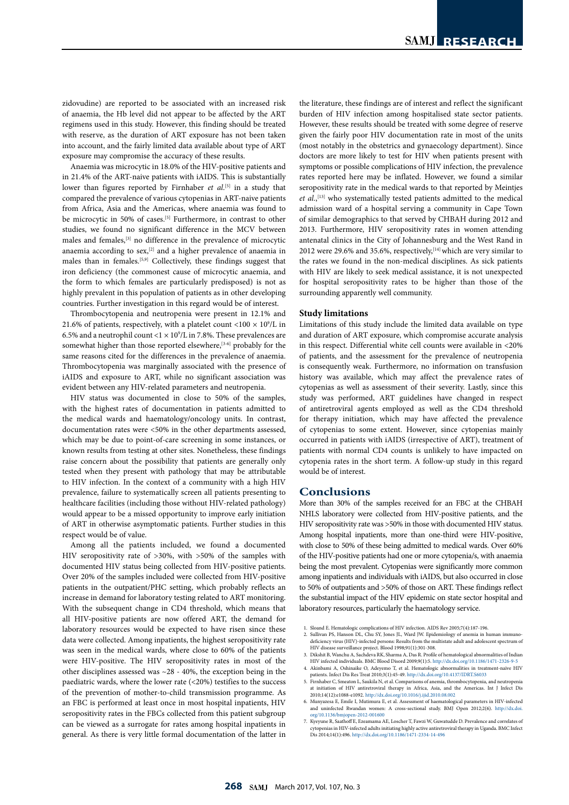zidovudine) are reported to be associated with an increased risk of anaemia, the Hb level did not appear to be affected by the ART regimens used in this study. However, this finding should be treated with reserve, as the duration of ART exposure has not been taken into account, and the fairly limited data available about type of ART exposure may compromise the accuracy of these results.

Anaemia was microcytic in 18.0% of the HIV-positive patients and in 21.4% of the ART-naive patients with iAIDS. This is substantially lower than figures reported by Firnhaber *et al*.<sup>[5]</sup> in a study that compared the prevalence of various cytopenias in ART-naive patients from Africa, Asia and the Americas, where anaemia was found to be microcytic in 50% of cases.<sup>[5]</sup> Furthermore, in contrast to other studies, we found no significant difference in the MCV between males and females,[3] no difference in the prevalence of microcytic anaemia according to sex,<sup>[2]</sup> and a higher prevalence of anaemia in males than in females.[5,9] Collectively, these findings suggest that iron deficiency (the commonest cause of microcytic anaemia, and the form to which females are particularly predisposed) is not as highly prevalent in this population of patients as in other developing countries. Further investigation in this regard would be of interest.

Thrombocytopenia and neutropenia were present in 12.1% and 21.6% of patients, respectively, with a platelet count <100  $\times$  10<sup>9</sup>/L in 6.5% and a neutrophil count <1  $\times$  10<sup>9</sup>/L in 7.8%. These prevalences are somewhat higher than those reported elsewhere,<sup>[3-6]</sup> probably for the same reasons cited for the differences in the prevalence of anaemia. Thrombocytopenia was marginally associated with the presence of iAIDS and exposure to ART, while no significant association was evident between any HIV-related parameters and neutropenia.

HIV status was documented in close to 50% of the samples, with the highest rates of documentation in patients admitted to the medical wards and haematology/oncology units. In contrast, documentation rates were <50% in the other departments assessed, which may be due to point-of-care screening in some instances, or known results from testing at other sites. Nonetheless, these findings raise concern about the possibility that patients are generally only tested when they present with pathology that may be attributable to HIV infection. In the context of a community with a high HIV prevalence, failure to systematically screen all patients presenting to healthcare facilities (including those without HIV-related pathology) would appear to be a missed opportunity to improve early initiation of ART in otherwise asymptomatic patients. Further studies in this respect would be of value.

Among all the patients included, we found a documented HIV seropositivity rate of >30%, with >50% of the samples with documented HIV status being collected from HIV-positive patients. Over 20% of the samples included were collected from HIV-positive patients in the outpatient/PHC setting, which probably reflects an increase in demand for laboratory testing related to ART monitoring. With the subsequent change in CD4 threshold, which means that all HIV-positive patients are now offered ART, the demand for laboratory resources would be expected to have risen since these data were collected. Among inpatients, the highest seropositivity rate was seen in the medical wards, where close to 60% of the patients were HIV-positive. The HIV seropositivity rates in most of the other disciplines assessed was  $\sim$  28 - 40%, the exception being in the paediatric wards, where the lower rate (<20%) testifies to the success of the prevention of mother-to-child transmission programme. As an FBC is performed at least once in most hospital inpatients, HIV seropositivity rates in the FBCs collected from this patient subgroup can be viewed as a surrogate for rates among hospital inpatients in general. As there is very little formal documentation of the latter in

the literature, these findings are of interest and reflect the significant burden of HIV infection among hospitalised state sector patients. However, these results should be treated with some degree of reserve given the fairly poor HIV documentation rate in most of the units (most notably in the obstetrics and gynaecology department). Since doctors are more likely to test for HIV when patients present with symptoms or possible complications of HIV infection, the prevalence rates reported here may be inflated. However, we found a similar seropositivity rate in the medical wards to that reported by Meintjes et al.,<sup>[13]</sup> who systematically tested patients admitted to the medical admission ward of a hospital serving a community in Cape Town of similar demographics to that served by CHBAH during 2012 and 2013. Furthermore, HIV seropositivity rates in women attending antenatal clinics in the City of Johannesburg and the West Rand in 2012 were 29.6% and 35.6%, respectively,  $[14]$  which are very similar to the rates we found in the non-medical disciplines. As sick patients with HIV are likely to seek medical assistance, it is not unexpected for hospital seropositivity rates to be higher than those of the surrounding apparently well community.

#### **Study limitations**

Limitations of this study include the limited data available on type and duration of ART exposure, which compromise accurate analysis in this respect. Differential white cell counts were available in <20% of patients, and the assessment for the prevalence of neutropenia is consequently weak. Furthermore, no information on transfusion history was available, which may affect the prevalence rates of cytopenias as well as assessment of their severity. Lastly, since this study was performed, ART guidelines have changed in respect of antiretroviral agents employed as well as the CD4 threshold for therapy initiation, which may have affected the prevalence of cytopenias to some extent. However, since cytopenias mainly occurred in patients with iAIDS (irrespective of ART), treatment of patients with normal CD4 counts is unlikely to have impacted on cytopenia rates in the short term. A follow-up study in this regard would be of interest.

## **Conclusions**

More than 30% of the samples received for an FBC at the CHBAH NHLS laboratory were collected from HIV-positive patients, and the HIV seropositivity rate was >50% in those with documented HIV status. Among hospital inpatients, more than one-third were HIV-positive, with close to 50% of these being admitted to medical wards. Over 60% of the HIV-positive patients had one or more cytopenia/s, with anaemia being the most prevalent. Cytopenias were significantly more common among inpatients and individuals with iAIDS, but also occurred in close to 50% of outpatients and >50% of those on ART. These findings reflect the substantial impact of the HIV epidemic on state sector hospital and laboratory resources, particularly the haematology service.

- 1. Sloand E. Hematologic complications of HIV infection. AIDS Rev 2005;7(4):187-196.
- 2. Sullivan PS, Hanson DL, Chu SY, Jones JL, Ward JW. Epidemiology of anemia in human immuno-deficiency virus (HIV)-infected persons: Results from the multistate adult and adolescent spectrum of HIV disease surveillance project. Blood 1998;91(1):301-308.
- 3. Dikshit B, Wanchu A, Sachdeva RK, Sharma A, Das R. Profile of hematological abnormalities of Indian HIV infected individuals. BMC Blood Disord 2009;9(1):5. http://dx.doi.org/10.1186/1471-2326-9-5 4. Akinbami A, Oshinaike O, Adeyemo T, et al. Hematologic abnormalities in treatment-naïve HIV
- patients. Infect Dis Res Treat 2010;3(1):45-49. http://dx.doi.org/10.4137/IDRT.S6033<br>5. Firnhaber C, Smeaton L, Saukila N, et al. Comparisons of anemia, thrombocytopenia, 5. First Library C, Smeather Library Library Control Processors of anemia, thrombocytopenia, and neutropenia, and neutropenia, and neutropenia, and neutropenia, and neutropenia, and neutropenia, and neutropenia, and neutro
- at initiation of HIV antiretroviral therapy in Africa, Asia, and the Americas. Int J Infect Dis 2010;14(12):e1088-e1092. http://dx.doi.org/10.1016/j.ijid.2010.08.002
- 6. Munyazesa E, Emile I, Mutimura E, et al. Assessment of haematological parameters in HIV-infected and uninfected Rwandan women: A cross-sectional study. BMJ Open 2012;2(6). [http://dx.doi.](http://dx.doi.org/10.1136/bmjopen-2012-001600 ) [org/10.1136/bmjopen-2012-001600](http://dx.doi.org/10.1136/bmjopen-2012-001600 )
- 7. Kyeyune R, Saathoff E, Ezeamama AE, Loscher T, Fawzi W, Guwatudde D. Prevalence and correlates of cytopenias in HIV-infected adults initiating highly active antiretroviral therapy in Uganda. BMC Infect Dis 2014;14(1):496. http://dx.doi.org/10.1186/1471-2334-14-496